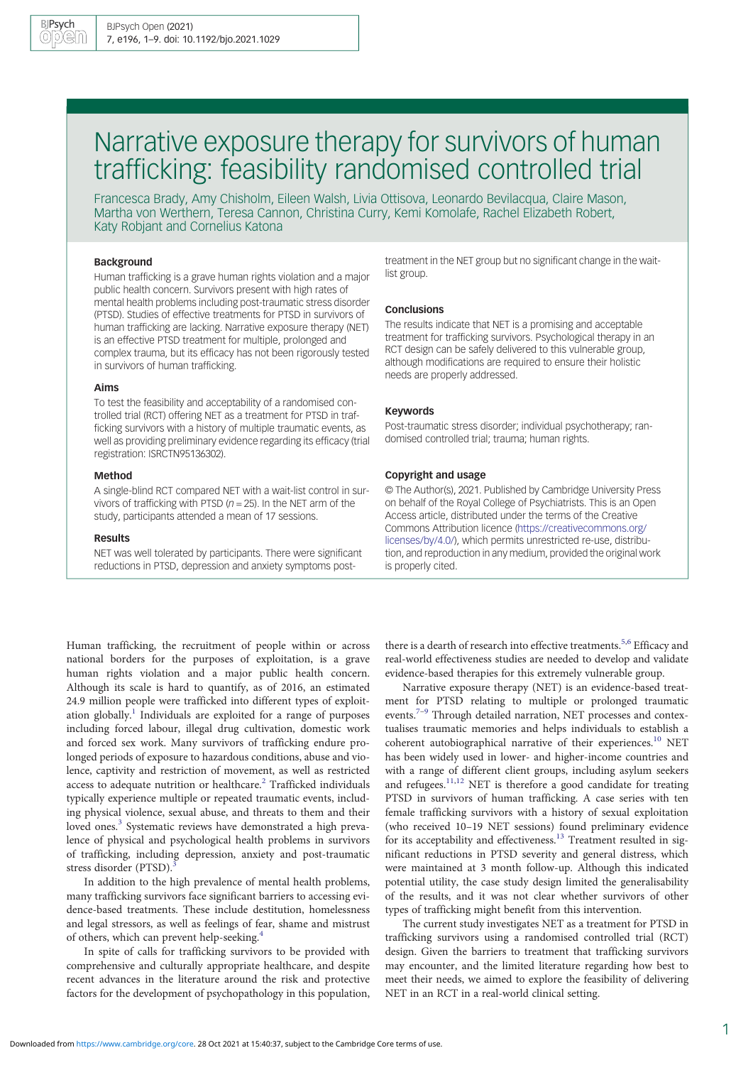# Narrative exposure therapy for survivors of human trafficking: feasibility randomised controlled trial

Francesca Brady, Amy Chisholm, Eileen Walsh, Livia Ottisova, Leonardo Bevilacqua, Claire Mason, Martha von Werthern, Teresa Cannon, Christina Curry, Kemi Komolafe, Rachel Elizabeth Robert, Katy Robjant and Cornelius Katona

## Background

Human trafficking is a grave human rights violation and a major public health concern. Survivors present with high rates of mental health problems including post-traumatic stress disorder (PTSD). Studies of effective treatments for PTSD in survivors of human trafficking are lacking. Narrative exposure therapy (NET) is an effective PTSD treatment for multiple, prolonged and complex trauma, but its efficacy has not been rigorously tested in survivors of human trafficking.

#### Aims

To test the feasibility and acceptability of a randomised controlled trial (RCT) offering NET as a treatment for PTSD in trafficking survivors with a history of multiple traumatic events, as well as providing preliminary evidence regarding its efficacy (trial registration: ISRCTN95136302).

# Method

A single-blind RCT compared NET with a wait-list control in survivors of trafficking with PTSD ( $n = 25$ ). In the NET arm of the study, participants attended a mean of 17 sessions.

#### Results

NET was well tolerated by participants. There were significant reductions in PTSD, depression and anxiety symptoms posttreatment in the NET group but no significant change in the waitlist group.

## **Conclusions**

The results indicate that NET is a promising and acceptable treatment for trafficking survivors. Psychological therapy in an RCT design can be safely delivered to this vulnerable group, although modifications are required to ensure their holistic needs are properly addressed.

#### Keywords

Post-traumatic stress disorder; individual psychotherapy; randomised controlled trial; trauma; human rights.

#### Copyright and usage

© The Author(s), 2021. Published by Cambridge University Press on behalf of the Royal College of Psychiatrists. This is an Open Access article, distributed under the terms of the Creative Commons Attribution licence [\(https://creativecommons.org/](https://creativecommons.org/licenses/by/4.0/) [licenses/by/4.0/](https://creativecommons.org/licenses/by/4.0/)), which permits unrestricted re-use, distribution, and reproduction in any medium, provided the original work is properly cited.

Human trafficking, the recruitment of people within or across national borders for the purposes of exploitation, is a grave human rights violation and a major public health concern. Although its scale is hard to quantify, as of 2016, an estimated 24.9 million people were trafficked into different types of exploitation globally.<sup>1</sup> Individuals are exploited for a range of purposes including forced labour, illegal drug cultivation, domestic work and forced sex work. Many survivors of trafficking endure prolonged periods of exposure to hazardous conditions, abuse and violence, captivity and restriction of movement, as well as restricted access to adequate nutrition or healthcare.<sup>[2](#page-8-0)</sup> Trafficked individuals typically experience multiple or repeated traumatic events, including physical violence, sexual abuse, and threats to them and their loved ones.<sup>[3](#page-8-0)</sup> Systematic reviews have demonstrated a high prevalence of physical and psychological health problems in survivors of trafficking, including depression, anxiety and post-traumatic stress disorder (PTSD).

In addition to the high prevalence of mental health problems, many trafficking survivors face significant barriers to accessing evidence-based treatments. These include destitution, homelessness and legal stressors, as well as feelings of fear, shame and mistrust of others, which can prevent help-seeking.[4](#page-8-0)

In spite of calls for trafficking survivors to be provided with comprehensive and culturally appropriate healthcare, and despite recent advances in the literature around the risk and protective factors for the development of psychopathology in this population,

there is a dearth of research into effective treatments.<sup>[5](#page-8-0),[6](#page-8-0)</sup> Efficacy and real-world effectiveness studies are needed to develop and validate evidence-based therapies for this extremely vulnerable group.

Narrative exposure therapy (NET) is an evidence-based treatment for PTSD relating to multiple or prolonged traumatic events.<sup>[7](#page-8-0)-[9](#page-8-0)</sup> Through detailed narration, NET processes and contextualises traumatic memories and helps individuals to establish a coherent autobiographical narrative of their experiences.[10](#page-8-0) NET has been widely used in lower- and higher-income countries and with a range of different client groups, including asylum seekers and refugees.<sup>[11](#page-8-0),[12](#page-8-0)</sup> NET is therefore a good candidate for treating PTSD in survivors of human trafficking. A case series with ten female trafficking survivors with a history of sexual exploitation (who received 10–19 NET sessions) found preliminary evidence for its acceptability and effectiveness.<sup>[13](#page-8-0)</sup> Treatment resulted in significant reductions in PTSD severity and general distress, which were maintained at 3 month follow-up. Although this indicated potential utility, the case study design limited the generalisability of the results, and it was not clear whether survivors of other types of trafficking might benefit from this intervention.

The current study investigates NET as a treatment for PTSD in trafficking survivors using a randomised controlled trial (RCT) design. Given the barriers to treatment that trafficking survivors may encounter, and the limited literature regarding how best to meet their needs, we aimed to explore the feasibility of delivering NET in an RCT in a real-world clinical setting.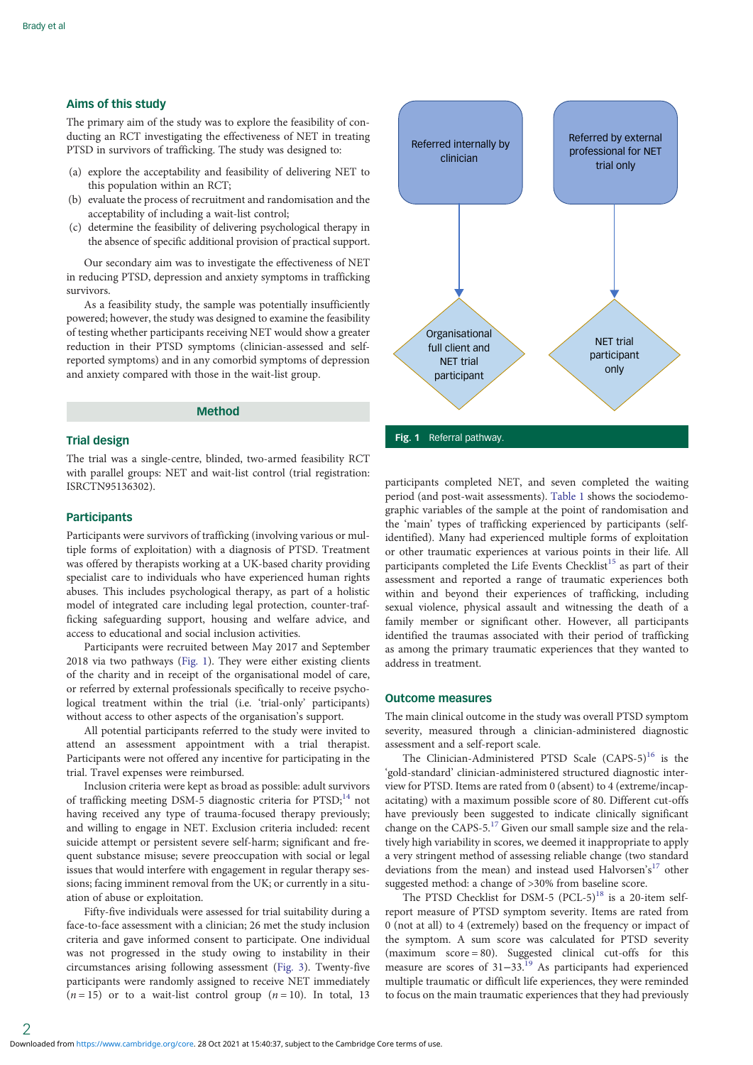# Aims of this study

The primary aim of the study was to explore the feasibility of conducting an RCT investigating the effectiveness of NET in treating PTSD in survivors of trafficking. The study was designed to:

- (a) explore the acceptability and feasibility of delivering NET to this population within an RCT;
- (b) evaluate the process of recruitment and randomisation and the acceptability of including a wait-list control;
- (c) determine the feasibility of delivering psychological therapy in the absence of specific additional provision of practical support.

Our secondary aim was to investigate the effectiveness of NET in reducing PTSD, depression and anxiety symptoms in trafficking survivors.

As a feasibility study, the sample was potentially insufficiently powered; however, the study was designed to examine the feasibility of testing whether participants receiving NET would show a greater reduction in their PTSD symptoms (clinician-assessed and selfreported symptoms) and in any comorbid symptoms of depression and anxiety compared with those in the wait-list group.

## Method

# Trial design

The trial was a single-centre, blinded, two-armed feasibility RCT with parallel groups: NET and wait-list control (trial registration: ISRCTN95136302).

# **Participants**

Participants were survivors of trafficking (involving various or multiple forms of exploitation) with a diagnosis of PTSD. Treatment was offered by therapists working at a UK-based charity providing specialist care to individuals who have experienced human rights abuses. This includes psychological therapy, as part of a holistic model of integrated care including legal protection, counter-trafficking safeguarding support, housing and welfare advice, and access to educational and social inclusion activities.

Participants were recruited between May 2017 and September 2018 via two pathways (Fig. 1). They were either existing clients of the charity and in receipt of the organisational model of care, or referred by external professionals specifically to receive psychological treatment within the trial (i.e. 'trial-only' participants) without access to other aspects of the organisation's support.

All potential participants referred to the study were invited to attend an assessment appointment with a trial therapist. Participants were not offered any incentive for participating in the trial. Travel expenses were reimbursed.

Inclusion criteria were kept as broad as possible: adult survivors of trafficking meeting DSM-5 diagnostic criteria for PTSD;<sup>[14](#page-8-0)</sup> not having received any type of trauma-focused therapy previously; and willing to engage in NET. Exclusion criteria included: recent suicide attempt or persistent severe self-harm; significant and frequent substance misuse; severe preoccupation with social or legal issues that would interfere with engagement in regular therapy sessions; facing imminent removal from the UK; or currently in a situation of abuse or exploitation.

Fifty-five individuals were assessed for trial suitability during a face-to-face assessment with a clinician; 26 met the study inclusion criteria and gave informed consent to participate. One individual was not progressed in the study owing to instability in their circumstances arising following assessment [\(Fig. 3](#page-4-0)). Twenty-five participants were randomly assigned to receive NET immediately  $(n = 15)$  or to a wait-list control group  $(n = 10)$ . In total, 13



participants completed NET, and seven completed the waiting period (and post-wait assessments). [Table 1](#page-4-0) shows the sociodemographic variables of the sample at the point of randomisation and the 'main' types of trafficking experienced by participants (selfidentified). Many had experienced multiple forms of exploitation or other traumatic experiences at various points in their life. All participants completed the Life Events Checklist<sup>[15](#page-8-0)</sup> as part of their assessment and reported a range of traumatic experiences both within and beyond their experiences of trafficking, including sexual violence, physical assault and witnessing the death of a family member or significant other. However, all participants identified the traumas associated with their period of trafficking as among the primary traumatic experiences that they wanted to address in treatment.

# Outcome measures

The main clinical outcome in the study was overall PTSD symptom severity, measured through a clinician-administered diagnostic assessment and a self-report scale.

The Clinician-Administered PTSD Scale  $(CAPS-5)^{16}$  $(CAPS-5)^{16}$  $(CAPS-5)^{16}$  is the 'gold-standard' clinician-administered structured diagnostic interview for PTSD. Items are rated from 0 (absent) to 4 (extreme/incapacitating) with a maximum possible score of 80. Different cut-offs have previously been suggested to indicate clinically significant change on the CAPS-5.[17](#page-8-0) Given our small sample size and the relatively high variability in scores, we deemed it inappropriate to apply a very stringent method of assessing reliable change (two standard deviations from the mean) and instead used Halvorsen's<sup>[17](#page-8-0)</sup> other suggested method: a change of >30% from baseline score.

The PTSD Checklist for DSM-5  $(PCL-5)^{18}$  is a 20-item selfreport measure of PTSD symptom severity. Items are rated from 0 (not at all) to 4 (extremely) based on the frequency or impact of the symptom. A sum score was calculated for PTSD severity (maximum score = 80). Suggested clinical cut-offs for this measure are scores of 31−33.[19](#page-8-0) As participants had experienced multiple traumatic or difficult life experiences, they were reminded to focus on the main traumatic experiences that they had previously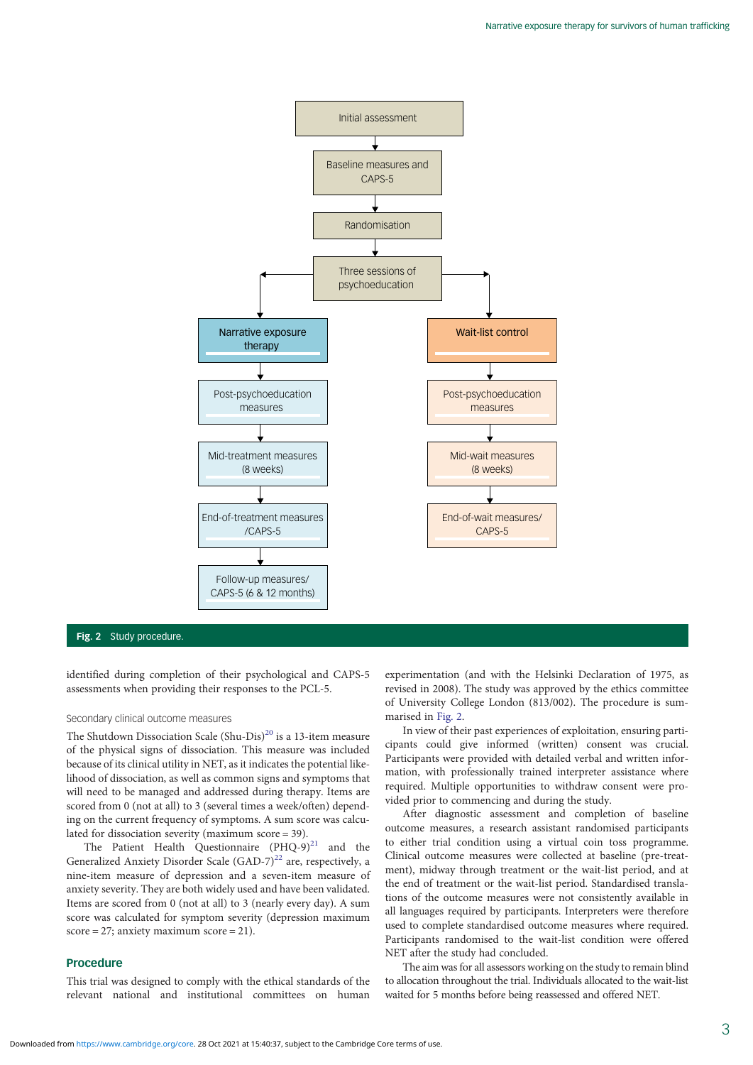

Fig. 2 Study procedure.

identified during completion of their psychological and CAPS-5 assessments when providing their responses to the PCL-5.

#### Secondary clinical outcome measures

The Shutdown Dissociation Scale (Shu-Dis)<sup>[20](#page-8-0)</sup> is a 13-item measure of the physical signs of dissociation. This measure was included because of its clinical utility in NET, as it indicates the potential likelihood of dissociation, as well as common signs and symptoms that will need to be managed and addressed during therapy. Items are scored from 0 (not at all) to 3 (several times a week/often) depending on the current frequency of symptoms. A sum score was calculated for dissociation severity (maximum score = 39).

The Patient Health Questionnaire  $(PHQ-9)^{21}$  and the Generalized Anxiety Disorder Scale  $(GAD-7)^{22}$  $(GAD-7)^{22}$  $(GAD-7)^{22}$  are, respectively, a nine-item measure of depression and a seven-item measure of anxiety severity. They are both widely used and have been validated. Items are scored from 0 (not at all) to 3 (nearly every day). A sum score was calculated for symptom severity (depression maximum  $score = 27$ ; anxiety maximum  $score = 21$ .

## Procedure

This trial was designed to comply with the ethical standards of the relevant national and institutional committees on human

experimentation (and with the Helsinki Declaration of 1975, as revised in 2008). The study was approved by the ethics committee of University College London (813/002). The procedure is summarised in Fig. 2.

In view of their past experiences of exploitation, ensuring participants could give informed (written) consent was crucial. Participants were provided with detailed verbal and written information, with professionally trained interpreter assistance where required. Multiple opportunities to withdraw consent were provided prior to commencing and during the study.

After diagnostic assessment and completion of baseline outcome measures, a research assistant randomised participants to either trial condition using a virtual coin toss programme. Clinical outcome measures were collected at baseline (pre-treatment), midway through treatment or the wait-list period, and at the end of treatment or the wait-list period. Standardised translations of the outcome measures were not consistently available in all languages required by participants. Interpreters were therefore used to complete standardised outcome measures where required. Participants randomised to the wait-list condition were offered NET after the study had concluded.

The aim was for all assessors working on the study to remain blind to allocation throughout the trial. Individuals allocated to the wait-list waited for 5 months before being reassessed and offered NET.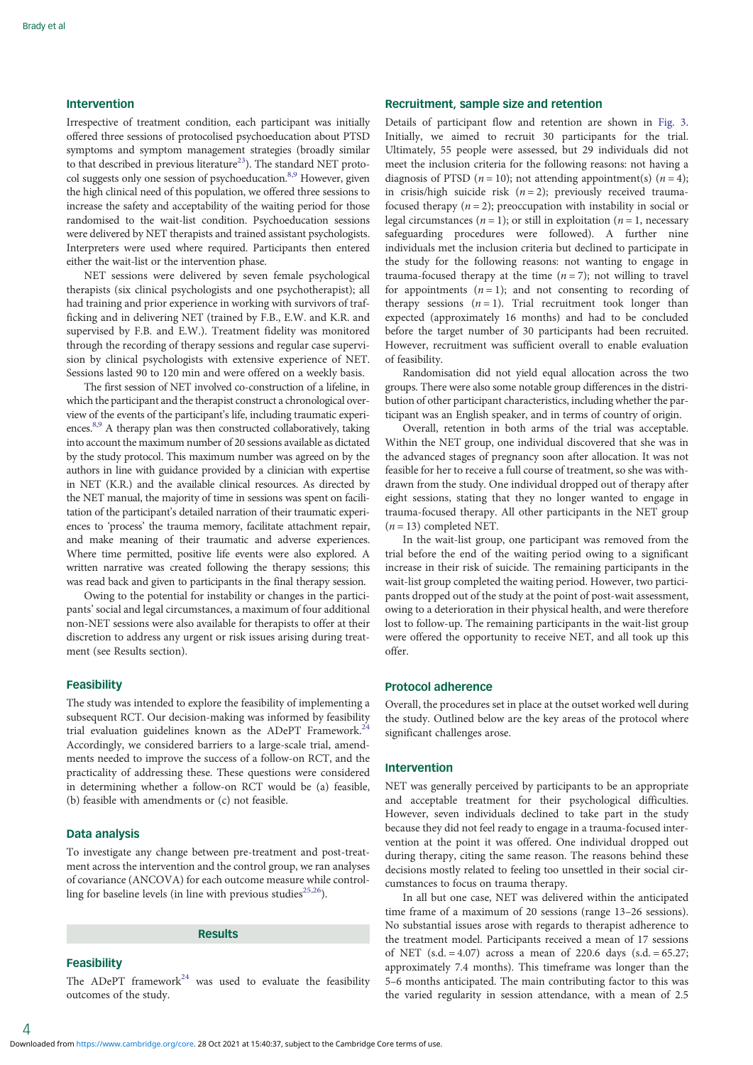# Intervention

Irrespective of treatment condition, each participant was initially offered three sessions of protocolised psychoeducation about PTSD symptoms and symptom management strategies (broadly similar to that described in previous literature<sup>[23](#page-8-0)</sup>). The standard NET proto-col suggests only one session of psychoeducation.<sup>8,[9](#page-8-0)</sup> However, given the high clinical need of this population, we offered three sessions to increase the safety and acceptability of the waiting period for those randomised to the wait-list condition. Psychoeducation sessions were delivered by NET therapists and trained assistant psychologists. Interpreters were used where required. Participants then entered either the wait-list or the intervention phase.

NET sessions were delivered by seven female psychological therapists (six clinical psychologists and one psychotherapist); all had training and prior experience in working with survivors of trafficking and in delivering NET (trained by F.B., E.W. and K.R. and supervised by F.B. and E.W.). Treatment fidelity was monitored through the recording of therapy sessions and regular case supervision by clinical psychologists with extensive experience of NET. Sessions lasted 90 to 120 min and were offered on a weekly basis.

The first session of NET involved co-construction of a lifeline, in which the participant and the therapist construct a chronological overview of the events of the participant's life, including traumatic experiences.<sup>8,9</sup> A therapy plan was then constructed collaboratively, taking into account the maximum number of 20 sessions available as dictated by the study protocol. This maximum number was agreed on by the authors in line with guidance provided by a clinician with expertise in NET (K.R.) and the available clinical resources. As directed by the NET manual, the majority of time in sessions was spent on facilitation of the participant's detailed narration of their traumatic experiences to 'process' the trauma memory, facilitate attachment repair, and make meaning of their traumatic and adverse experiences. Where time permitted, positive life events were also explored. A written narrative was created following the therapy sessions; this was read back and given to participants in the final therapy session.

Owing to the potential for instability or changes in the participants' social and legal circumstances, a maximum of four additional non-NET sessions were also available for therapists to offer at their discretion to address any urgent or risk issues arising during treatment (see Results section).

## **Feasibility**

The study was intended to explore the feasibility of implementing a subsequent RCT. Our decision-making was informed by feasibility trial evaluation guidelines known as the ADePT Framework.<sup>[24](#page-8-0)</sup> Accordingly, we considered barriers to a large-scale trial, amendments needed to improve the success of a follow-on RCT, and the practicality of addressing these. These questions were considered in determining whether a follow-on RCT would be (a) feasible, (b) feasible with amendments or (c) not feasible.

## Data analysis

To investigate any change between pre-treatment and post-treatment across the intervention and the control group, we ran analyses of covariance (ANCOVA) for each outcome measure while controlling for baseline levels (in line with previous studies<sup>25,26</sup>).

# Results

# **Feasibility**

The ADePT framework<sup>24</sup> was used to evaluate the feasibility outcomes of the study.

Details of participant flow and retention are shown in [Fig. 3](#page-4-0). Initially, we aimed to recruit 30 participants for the trial. Ultimately, 55 people were assessed, but 29 individuals did not meet the inclusion criteria for the following reasons: not having a diagnosis of PTSD ( $n = 10$ ); not attending appointment(s) ( $n = 4$ ); in crisis/high suicide risk  $(n = 2)$ ; previously received traumafocused therapy  $(n = 2)$ ; preoccupation with instability in social or legal circumstances ( $n = 1$ ); or still in exploitation ( $n = 1$ , necessary safeguarding procedures were followed). A further nine individuals met the inclusion criteria but declined to participate in the study for the following reasons: not wanting to engage in trauma-focused therapy at the time  $(n = 7)$ ; not willing to travel for appointments  $(n = 1)$ ; and not consenting to recording of therapy sessions  $(n = 1)$ . Trial recruitment took longer than expected (approximately 16 months) and had to be concluded before the target number of 30 participants had been recruited. However, recruitment was sufficient overall to enable evaluation of feasibility.

Randomisation did not yield equal allocation across the two groups. There were also some notable group differences in the distribution of other participant characteristics, including whether the participant was an English speaker, and in terms of country of origin.

Overall, retention in both arms of the trial was acceptable. Within the NET group, one individual discovered that she was in the advanced stages of pregnancy soon after allocation. It was not feasible for her to receive a full course of treatment, so she was withdrawn from the study. One individual dropped out of therapy after eight sessions, stating that they no longer wanted to engage in trauma-focused therapy. All other participants in the NET group  $(n = 13)$  completed NET.

In the wait-list group, one participant was removed from the trial before the end of the waiting period owing to a significant increase in their risk of suicide. The remaining participants in the wait-list group completed the waiting period. However, two participants dropped out of the study at the point of post-wait assessment, owing to a deterioration in their physical health, and were therefore lost to follow-up. The remaining participants in the wait-list group were offered the opportunity to receive NET, and all took up this offer.

## Protocol adherence

Overall, the procedures set in place at the outset worked well during the study. Outlined below are the key areas of the protocol where significant challenges arose.

# Intervention

NET was generally perceived by participants to be an appropriate and acceptable treatment for their psychological difficulties. However, seven individuals declined to take part in the study because they did not feel ready to engage in a trauma-focused intervention at the point it was offered. One individual dropped out during therapy, citing the same reason. The reasons behind these decisions mostly related to feeling too unsettled in their social circumstances to focus on trauma therapy.

In all but one case, NET was delivered within the anticipated time frame of a maximum of 20 sessions (range 13–26 sessions). No substantial issues arose with regards to therapist adherence to the treatment model. Participants received a mean of 17 sessions of NET  $(s.d. = 4.07)$  across a mean of 220.6 days  $(s.d. = 65.27;$ approximately 7.4 months). This timeframe was longer than the 5–6 months anticipated. The main contributing factor to this was the varied regularity in session attendance, with a mean of 2.5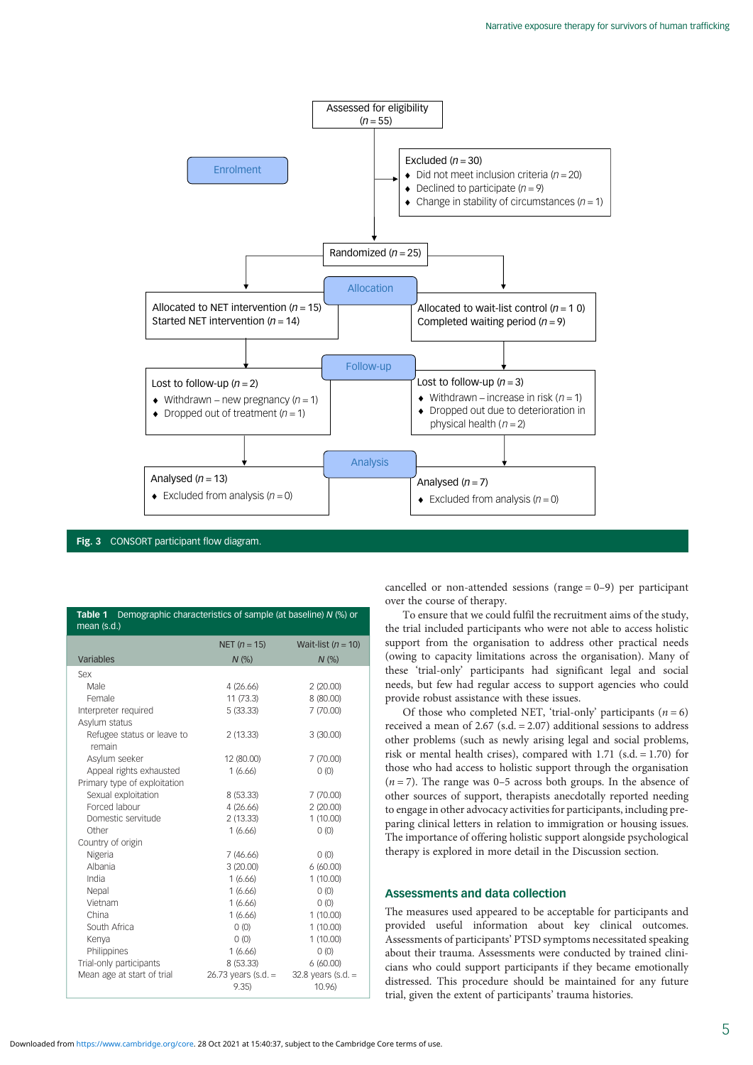<span id="page-4-0"></span>

#### Fig. 3 CONSORT participant flow diagram.

| Demographic characteristics of sample (at baseline) N (%) or<br>Table 1<br>mean (s.d.) |                       |                        |
|----------------------------------------------------------------------------------------|-----------------------|------------------------|
|                                                                                        | NET ( $n = 15$ )      | Wait-list ( $n = 10$ ) |
| Variables                                                                              | N(%)                  | N(%)                   |
| Sex                                                                                    |                       |                        |
| Male                                                                                   | 4(26.66)              | 2(20.00)               |
| Female                                                                                 | 11(73.3)              | 8 (80.00)              |
| Interpreter required                                                                   | 5(33.33)              | 7(70.00)               |
| Asylum status                                                                          |                       |                        |
| Refugee status or leave to<br>remain                                                   | 2(13.33)              | 3(30.00)               |
| Asylum seeker                                                                          | 12 (80.00)            | 7 (70.00)              |
| Appeal rights exhausted                                                                | 1(6.66)               | 0(0)                   |
| Primary type of exploitation                                                           |                       |                        |
| Sexual exploitation                                                                    | 8 (53.33)             | 7(70.00)               |
| Forced labour                                                                          | 4(26.66)              | 2(20.00)               |
| Domestic servitude                                                                     | 2(13.33)              | 1(10.00)               |
| Other                                                                                  | 1(6.66)               | 0(0)                   |
| Country of origin                                                                      |                       |                        |
| Nigeria                                                                                | 7(46.66)              | 0(0)                   |
| Albania                                                                                | 3(20.00)              | 6(60.00)               |
| India                                                                                  | 1(6.66)               | 1(10.00)               |
| Nepal                                                                                  | 1(6.66)               | 0(0)                   |
| Vietnam                                                                                | 1(6.66)               | O(0)                   |
| China                                                                                  | 1(6.66)               | 1(10.00)               |
| South Africa                                                                           | 0(0)                  | 1(10.00)               |
| Kenya                                                                                  | (0)                   | 1(10.00)               |
| Philippines                                                                            | 1(6.66)               | O(0)                   |
| Trial-only participants                                                                | 8 (53.33)             | 6(60.00)               |
| Mean age at start of trial                                                             | 26.73 years (s.d. $=$ | 32.8 years $(s.d. =$   |
|                                                                                        | 9.35                  | 10.96                  |

cancelled or non-attended sessions (range = 0–9) per participant over the course of therapy.

To ensure that we could fulfil the recruitment aims of the study, the trial included participants who were not able to access holistic support from the organisation to address other practical needs (owing to capacity limitations across the organisation). Many of these 'trial-only' participants had significant legal and social needs, but few had regular access to support agencies who could provide robust assistance with these issues.

Of those who completed NET, 'trial-only' participants  $(n = 6)$ received a mean of 2.67 (s.d. = 2.07) additional sessions to address other problems (such as newly arising legal and social problems, risk or mental health crises), compared with 1.71 (s.d. = 1.70) for those who had access to holistic support through the organisation  $(n=7)$ . The range was 0–5 across both groups. In the absence of other sources of support, therapists anecdotally reported needing to engage in other advocacy activities for participants, including preparing clinical letters in relation to immigration or housing issues. The importance of offering holistic support alongside psychological therapy is explored in more detail in the Discussion section.

# Assessments and data collection

The measures used appeared to be acceptable for participants and provided useful information about key clinical outcomes. Assessments of participants' PTSD symptoms necessitated speaking about their trauma. Assessments were conducted by trained clinicians who could support participants if they became emotionally distressed. This procedure should be maintained for any future trial, given the extent of participants' trauma histories.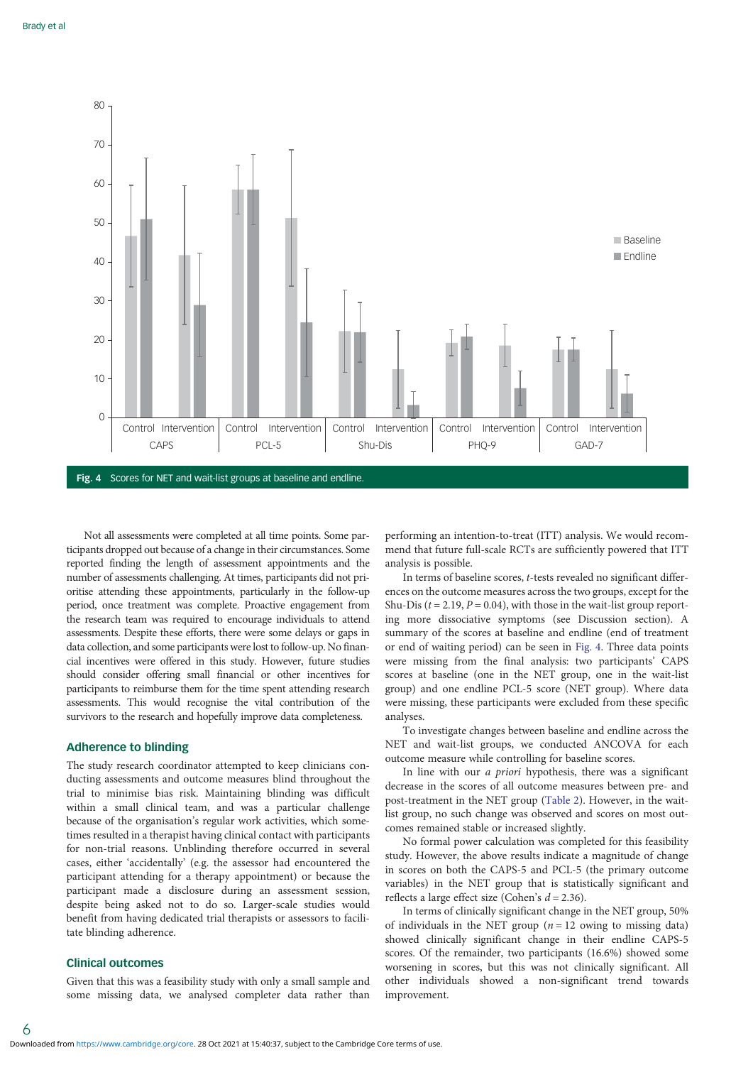

Not all assessments were completed at all time points. Some participants dropped out because of a change in their circumstances. Some reported finding the length of assessment appointments and the number of assessments challenging. At times, participants did not prioritise attending these appointments, particularly in the follow-up period, once treatment was complete. Proactive engagement from the research team was required to encourage individuals to attend assessments. Despite these efforts, there were some delays or gaps in data collection, and some participants were lost to follow-up. No financial incentives were offered in this study. However, future studies should consider offering small financial or other incentives for participants to reimburse them for the time spent attending research assessments. This would recognise the vital contribution of the survivors to the research and hopefully improve data completeness.

## Adherence to blinding

The study research coordinator attempted to keep clinicians conducting assessments and outcome measures blind throughout the trial to minimise bias risk. Maintaining blinding was difficult within a small clinical team, and was a particular challenge because of the organisation's regular work activities, which sometimes resulted in a therapist having clinical contact with participants for non-trial reasons. Unblinding therefore occurred in several cases, either 'accidentally' (e.g. the assessor had encountered the participant attending for a therapy appointment) or because the participant made a disclosure during an assessment session, despite being asked not to do so. Larger-scale studies would benefit from having dedicated trial therapists or assessors to facilitate blinding adherence.

# Clinical outcomes

Given that this was a feasibility study with only a small sample and some missing data, we analysed completer data rather than performing an intention-to-treat (ITT) analysis. We would recommend that future full-scale RCTs are sufficiently powered that ITT analysis is possible.

In terms of baseline scores, t-tests revealed no significant differences on the outcome measures across the two groups, except for the Shu-Dis ( $t = 2.19$ ,  $P = 0.04$ ), with those in the wait-list group reporting more dissociative symptoms (see Discussion section). A summary of the scores at baseline and endline (end of treatment or end of waiting period) can be seen in Fig. 4. Three data points were missing from the final analysis: two participants' CAPS scores at baseline (one in the NET group, one in the wait-list group) and one endline PCL-5 score (NET group). Where data were missing, these participants were excluded from these specific analyses.

To investigate changes between baseline and endline across the NET and wait-list groups, we conducted ANCOVA for each outcome measure while controlling for baseline scores.

In line with our a priori hypothesis, there was a significant decrease in the scores of all outcome measures between pre- and post-treatment in the NET group [\(Table 2\)](#page-6-0). However, in the waitlist group, no such change was observed and scores on most outcomes remained stable or increased slightly.

No formal power calculation was completed for this feasibility study. However, the above results indicate a magnitude of change in scores on both the CAPS-5 and PCL-5 (the primary outcome variables) in the NET group that is statistically significant and reflects a large effect size (Cohen's  $d = 2.36$ ).

In terms of clinically significant change in the NET group, 50% of individuals in the NET group ( $n = 12$  owing to missing data) showed clinically significant change in their endline CAPS-5 scores. Of the remainder, two participants (16.6%) showed some worsening in scores, but this was not clinically significant. All other individuals showed a non-significant trend towards improvement.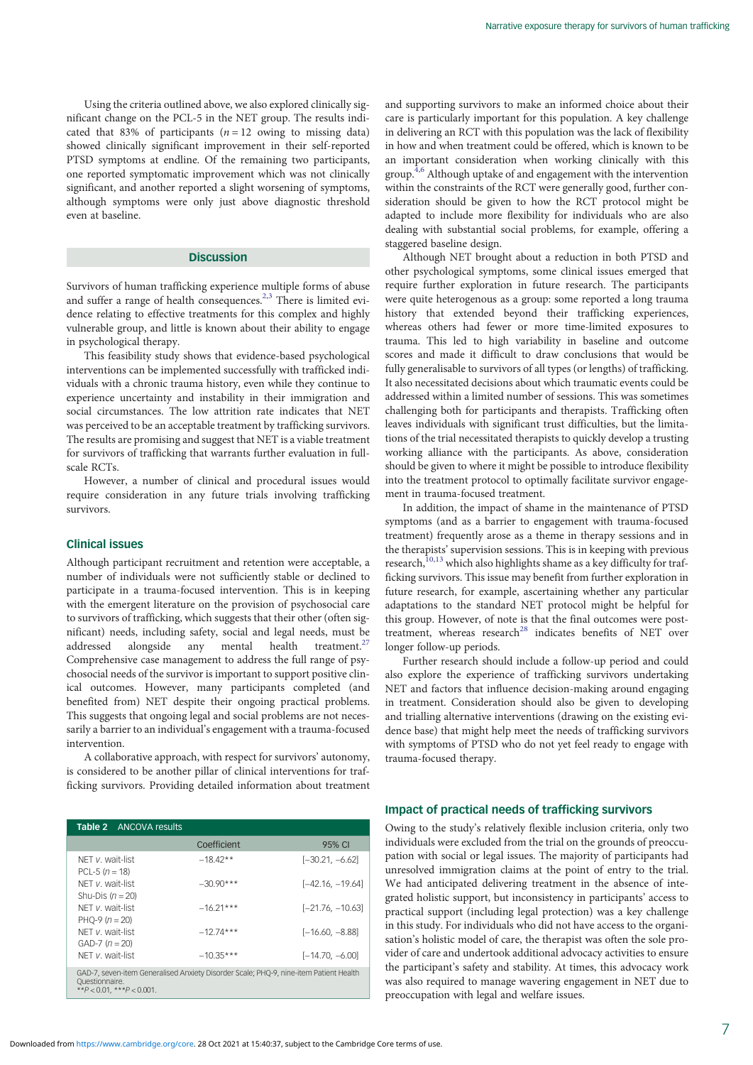<span id="page-6-0"></span>Using the criteria outlined above, we also explored clinically significant change on the PCL-5 in the NET group. The results indicated that 83% of participants  $(n = 12)$  owing to missing data) showed clinically significant improvement in their self-reported PTSD symptoms at endline. Of the remaining two participants, one reported symptomatic improvement which was not clinically significant, and another reported a slight worsening of symptoms, although symptoms were only just above diagnostic threshold even at baseline.

# **Discussion**

Survivors of human trafficking experience multiple forms of abuse and suffer a range of health consequences.<sup>2,3</sup> There is limited evidence relating to effective treatments for this complex and highly vulnerable group, and little is known about their ability to engage in psychological therapy.

This feasibility study shows that evidence-based psychological interventions can be implemented successfully with trafficked individuals with a chronic trauma history, even while they continue to experience uncertainty and instability in their immigration and social circumstances. The low attrition rate indicates that NET was perceived to be an acceptable treatment by trafficking survivors. The results are promising and suggest that NET is a viable treatment for survivors of trafficking that warrants further evaluation in fullscale RCTs.

However, a number of clinical and procedural issues would require consideration in any future trials involving trafficking survivors.

## Clinical issues

Although participant recruitment and retention were acceptable, a number of individuals were not sufficiently stable or declined to participate in a trauma-focused intervention. This is in keeping with the emergent literature on the provision of psychosocial care to survivors of trafficking, which suggests that their other (often significant) needs, including safety, social and legal needs, must be addressed alongside any mental health treatment.<sup>[27](#page-8-0)</sup> Comprehensive case management to address the full range of psychosocial needs of the survivor is important to support positive clinical outcomes. However, many participants completed (and benefited from) NET despite their ongoing practical problems. This suggests that ongoing legal and social problems are not necessarily a barrier to an individual's engagement with a trauma-focused intervention.

A collaborative approach, with respect for survivors' autonomy, is considered to be another pillar of clinical interventions for trafficking survivors. Providing detailed information about treatment

| <b>Table 2</b> ANCOVA results                                                                                                                |             |                    |
|----------------------------------------------------------------------------------------------------------------------------------------------|-------------|--------------------|
|                                                                                                                                              | Coefficient | 95% CI             |
| NFT v. wait-list<br>PCL-5 $(n = 18)$                                                                                                         | $-18.42**$  | $[-30.21, -6.62]$  |
| $NFT$ $V$ wait-list<br>Shu-Dis $(n = 20)$                                                                                                    | $-30.90***$ | $[-42.16, -19.64]$ |
| $NFT$ $V$ wait-list<br>$PHO-9 (n = 20)$                                                                                                      | $-16.21***$ | $[-21.76, -10.63]$ |
| NFT v. wait-list<br>$GAD-7 (n = 20)$                                                                                                         | $-1274***$  | $[-16.60, -8.88]$  |
| NFT v wait-list                                                                                                                              | $-10.35***$ | $[-14.70, -6.00]$  |
| GAD-7, seven-item Generalised Anxiety Disorder Scale; PHQ-9, nine-item Patient Health<br>Ouestionnaire.<br>** $P < 0.01$ , *** $P < 0.001$ . |             |                    |

and supporting survivors to make an informed choice about their care is particularly important for this population. A key challenge in delivering an RCT with this population was the lack of flexibility in how and when treatment could be offered, which is known to be an important consideration when working clinically with this group.[4,6](#page-8-0) Although uptake of and engagement with the intervention within the constraints of the RCT were generally good, further consideration should be given to how the RCT protocol might be adapted to include more flexibility for individuals who are also dealing with substantial social problems, for example, offering a staggered baseline design.

Although NET brought about a reduction in both PTSD and other psychological symptoms, some clinical issues emerged that require further exploration in future research. The participants were quite heterogenous as a group: some reported a long trauma history that extended beyond their trafficking experiences, whereas others had fewer or more time-limited exposures to trauma. This led to high variability in baseline and outcome scores and made it difficult to draw conclusions that would be fully generalisable to survivors of all types (or lengths) of trafficking. It also necessitated decisions about which traumatic events could be addressed within a limited number of sessions. This was sometimes challenging both for participants and therapists. Trafficking often leaves individuals with significant trust difficulties, but the limitations of the trial necessitated therapists to quickly develop a trusting working alliance with the participants. As above, consideration should be given to where it might be possible to introduce flexibility into the treatment protocol to optimally facilitate survivor engagement in trauma-focused treatment.

In addition, the impact of shame in the maintenance of PTSD symptoms (and as a barrier to engagement with trauma-focused treatment) frequently arose as a theme in therapy sessions and in the therapists' supervision sessions. This is in keeping with previous research, $^{10,13}$  $^{10,13}$  $^{10,13}$  which also highlights shame as a key difficulty for trafficking survivors. This issue may benefit from further exploration in future research, for example, ascertaining whether any particular adaptations to the standard NET protocol might be helpful for this group. However, of note is that the final outcomes were posttreatment, whereas research<sup>28</sup> indicates benefits of NET over longer follow-up periods.

Further research should include a follow-up period and could also explore the experience of trafficking survivors undertaking NET and factors that influence decision-making around engaging in treatment. Consideration should also be given to developing and trialling alternative interventions (drawing on the existing evidence base) that might help meet the needs of trafficking survivors with symptoms of PTSD who do not yet feel ready to engage with trauma-focused therapy.

# Impact of practical needs of trafficking survivors

Owing to the study's relatively flexible inclusion criteria, only two individuals were excluded from the trial on the grounds of preoccupation with social or legal issues. The majority of participants had unresolved immigration claims at the point of entry to the trial. We had anticipated delivering treatment in the absence of integrated holistic support, but inconsistency in participants' access to practical support (including legal protection) was a key challenge in this study. For individuals who did not have access to the organisation's holistic model of care, the therapist was often the sole provider of care and undertook additional advocacy activities to ensure the participant's safety and stability. At times, this advocacy work was also required to manage wavering engagement in NET due to preoccupation with legal and welfare issues.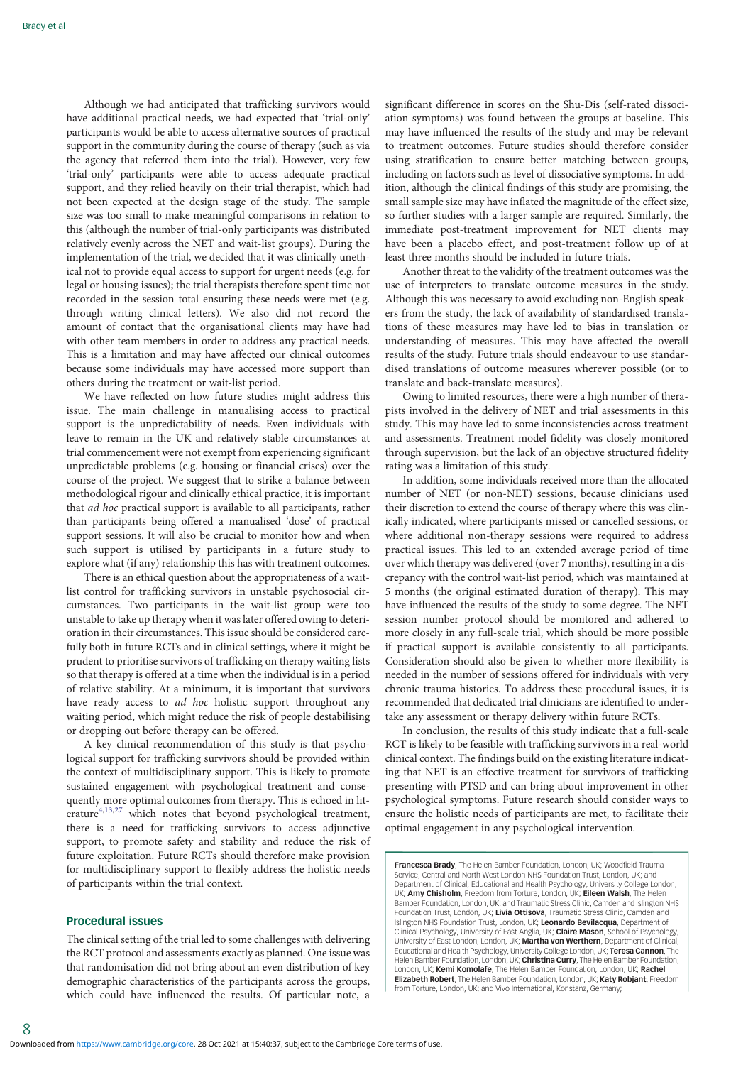Although we had anticipated that trafficking survivors would have additional practical needs, we had expected that 'trial-only' participants would be able to access alternative sources of practical support in the community during the course of therapy (such as via the agency that referred them into the trial). However, very few 'trial-only' participants were able to access adequate practical support, and they relied heavily on their trial therapist, which had not been expected at the design stage of the study. The sample size was too small to make meaningful comparisons in relation to this (although the number of trial-only participants was distributed relatively evenly across the NET and wait-list groups). During the implementation of the trial, we decided that it was clinically unethical not to provide equal access to support for urgent needs (e.g. for legal or housing issues); the trial therapists therefore spent time not recorded in the session total ensuring these needs were met (e.g. through writing clinical letters). We also did not record the amount of contact that the organisational clients may have had with other team members in order to address any practical needs. This is a limitation and may have affected our clinical outcomes because some individuals may have accessed more support than others during the treatment or wait-list period.

We have reflected on how future studies might address this issue. The main challenge in manualising access to practical support is the unpredictability of needs. Even individuals with leave to remain in the UK and relatively stable circumstances at trial commencement were not exempt from experiencing significant unpredictable problems (e.g. housing or financial crises) over the course of the project. We suggest that to strike a balance between methodological rigour and clinically ethical practice, it is important that ad hoc practical support is available to all participants, rather than participants being offered a manualised 'dose' of practical support sessions. It will also be crucial to monitor how and when such support is utilised by participants in a future study to explore what (if any) relationship this has with treatment outcomes.

There is an ethical question about the appropriateness of a waitlist control for trafficking survivors in unstable psychosocial circumstances. Two participants in the wait-list group were too unstable to take up therapy when it was later offered owing to deterioration in their circumstances. This issue should be considered carefully both in future RCTs and in clinical settings, where it might be prudent to prioritise survivors of trafficking on therapy waiting lists so that therapy is offered at a time when the individual is in a period of relative stability. At a minimum, it is important that survivors have ready access to *ad hoc* holistic support throughout any waiting period, which might reduce the risk of people destabilising or dropping out before therapy can be offered.

A key clinical recommendation of this study is that psychological support for trafficking survivors should be provided within the context of multidisciplinary support. This is likely to promote sustained engagement with psychological treatment and consequently more optimal outcomes from therapy. This is echoed in lit-erature<sup>[4](#page-8-0),[13](#page-8-0),[27](#page-8-0)</sup> which notes that beyond psychological treatment, there is a need for trafficking survivors to access adjunctive support, to promote safety and stability and reduce the risk of future exploitation. Future RCTs should therefore make provision for multidisciplinary support to flexibly address the holistic needs of participants within the trial context.

## Procedural issues

The clinical setting of the trial led to some challenges with delivering the RCT protocol and assessments exactly as planned. One issue was that randomisation did not bring about an even distribution of key demographic characteristics of the participants across the groups, which could have influenced the results. Of particular note, a

significant difference in scores on the Shu-Dis (self-rated dissociation symptoms) was found between the groups at baseline. This may have influenced the results of the study and may be relevant to treatment outcomes. Future studies should therefore consider using stratification to ensure better matching between groups, including on factors such as level of dissociative symptoms. In addition, although the clinical findings of this study are promising, the small sample size may have inflated the magnitude of the effect size, so further studies with a larger sample are required. Similarly, the immediate post-treatment improvement for NET clients may have been a placebo effect, and post-treatment follow up of at least three months should be included in future trials.

Another threat to the validity of the treatment outcomes was the use of interpreters to translate outcome measures in the study. Although this was necessary to avoid excluding non-English speakers from the study, the lack of availability of standardised translations of these measures may have led to bias in translation or understanding of measures. This may have affected the overall results of the study. Future trials should endeavour to use standardised translations of outcome measures wherever possible (or to translate and back-translate measures).

Owing to limited resources, there were a high number of therapists involved in the delivery of NET and trial assessments in this study. This may have led to some inconsistencies across treatment and assessments. Treatment model fidelity was closely monitored through supervision, but the lack of an objective structured fidelity rating was a limitation of this study.

In addition, some individuals received more than the allocated number of NET (or non-NET) sessions, because clinicians used their discretion to extend the course of therapy where this was clinically indicated, where participants missed or cancelled sessions, or where additional non-therapy sessions were required to address practical issues. This led to an extended average period of time over which therapy was delivered (over 7 months), resulting in a discrepancy with the control wait-list period, which was maintained at 5 months (the original estimated duration of therapy). This may have influenced the results of the study to some degree. The NET session number protocol should be monitored and adhered to more closely in any full-scale trial, which should be more possible if practical support is available consistently to all participants. Consideration should also be given to whether more flexibility is needed in the number of sessions offered for individuals with very chronic trauma histories. To address these procedural issues, it is recommended that dedicated trial clinicians are identified to undertake any assessment or therapy delivery within future RCTs.

In conclusion, the results of this study indicate that a full-scale RCT is likely to be feasible with trafficking survivors in a real-world clinical context. The findings build on the existing literature indicating that NET is an effective treatment for survivors of trafficking presenting with PTSD and can bring about improvement in other psychological symptoms. Future research should consider ways to ensure the holistic needs of participants are met, to facilitate their optimal engagement in any psychological intervention.

Francesca Brady, The Helen Bamber Foundation, London, UK; Woodfield Trauma Service, Central and North West London NHS Foundation Trust, London, UK; and Department of Clinical, Educational and Health Psychology, University College London, UK; Amy Chisholm, Freedom from Torture, London, UK; Eileen Walsh, The Helen Bamber Foundation, London, UK; and Traumatic Stress Clinic, Camden and Islington NHS Foundation Trust, London, UK; Livia Ottisova, Traumatic Stress Clinic, Camden and Islington NHS Foundation Trust, London, UK; Leonardo Bevilacqua, Department of Clinical Psychology, University of East Anglia, UK; Claire Mason, School of Psychology, University of East London, London, UK; Martha von Werthern, Department of Clinical Educational and Health Psychology, University College London, UK; Teresa Cannon, The Helen Bamber Foundation, London, UK; **Christina Curry**, The Helen Bamber Foundation,<br>London, UK; **Kemi Komolafe**, The Helen Bamber Foundation, London, UK; **Rachel** Elizabeth Robert, The Helen Bamber Foundation, London, UK; Katy Robjant, Freedom from Torture, London, UK; and Vivo International, Konstanz, Germany;